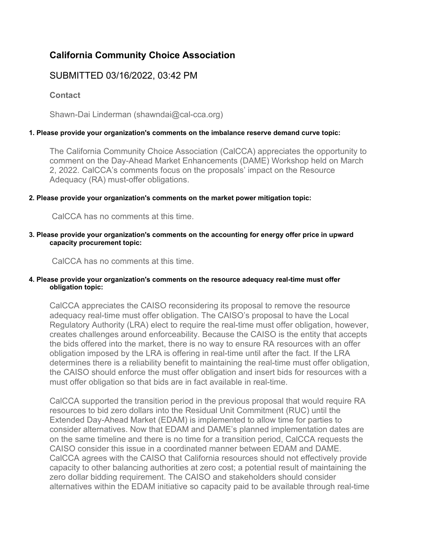# **California Community Choice Association**

# SUBMITTED 03/16/2022, 03:42 PM

**Contact**

Shawn-Dai Linderman (shawndai@cal-cca.org)

## **1. Please provide your organization's comments on the imbalance reserve demand curve topic:**

The California Community Choice Association (CalCCA) appreciates the opportunity to comment on the Day-Ahead Market Enhancements (DAME) Workshop held on March 2, 2022. CalCCA's comments focus on the proposals' impact on the Resource Adequacy (RA) must-offer obligations.

#### **2. Please provide your organization's comments on the market power mitigation topic:**

CalCCA has no comments at this time.

#### **3. Please provide your organization's comments on the accounting for energy offer price in upward capacity procurement topic:**

CalCCA has no comments at this time.

#### **4. Please provide your organization's comments on the resource adequacy real-time must offer obligation topic:**

CalCCA appreciates the CAISO reconsidering its proposal to remove the resource adequacy real-time must offer obligation. The CAISO's proposal to have the Local Regulatory Authority (LRA) elect to require the real-time must offer obligation, however, creates challenges around enforceability. Because the CAISO is the entity that accepts the bids offered into the market, there is no way to ensure RA resources with an offer obligation imposed by the LRA is offering in real-time until after the fact. If the LRA determines there is a reliability benefit to maintaining the real-time must offer obligation, the CAISO should enforce the must offer obligation and insert bids for resources with a must offer obligation so that bids are in fact available in real-time.

CalCCA supported the transition period in the previous proposal that would require RA resources to bid zero dollars into the Residual Unit Commitment (RUC) until the Extended Day-Ahead Market (EDAM) is implemented to allow time for parties to consider alternatives. Now that EDAM and DAME's planned implementation dates are on the same timeline and there is no time for a transition period, CalCCA requests the CAISO consider this issue in a coordinated manner between EDAM and DAME. CalCCA agrees with the CAISO that California resources should not effectively provide capacity to other balancing authorities at zero cost; a potential result of maintaining the zero dollar bidding requirement. The CAISO and stakeholders should consider alternatives within the EDAM initiative so capacity paid to be available through real-time